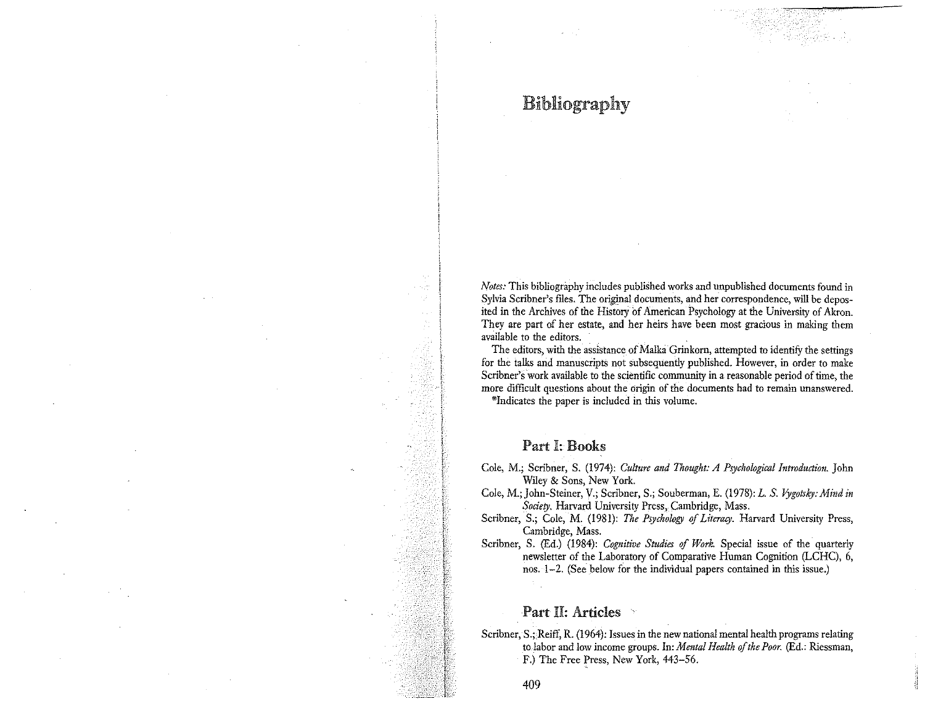# Bibliography

*Notes:* This bibliography includes published works and unpublished documents found in Sylvia Scribner's files. The original documents, and her correspondence, will be deposited in the Archives of the History of American Psychology at the University of Akron. **They are part of her estate, and her heirs have been most gracious in making them available to the editors.** 

The editors, with the assistance of Malka Grinkorn, attempted to identify the settings for the talks and manuscripts not subsequently published. However, in order to make **Scribner's work available to the scientific community in a reasonable period of time, the more difficult questions about the origin of the documents had to remain unanswered.** 

**\*Indicates the paper is included in this volume.** 

#### Part I: Books

- Cole, M.; Scribner, S. (1974): *Culture and Thought: A Psychological Introduction.* John Wiley & Sons, New York.
- Cole, M.; John-Steiner, V.; Scribner, S.; Souberman, E. (1978): *L. S. lygotsky: Mind in Society.* Harvard University Press, Cambridge, Mass.
- Scribner, S.; Cole, M. (1981): *The Psychology of Literacy.* Harvard University Press, Cambridge, Mass.
- Scribner, S. (Ed.) (1984): *Cognitive Studies of Work.* Special issue of the quarterly newsletter of the Laboratory of Comparative Human Cognition (LCHC), 6, nos. 1-2. (See below for the individual papers contained in this issue.)

## Part II: Articles

Scribner, S.; Reiff, R. (1964): Issues in the new national mental health programs relating to labor and low income groups. In: *Mental Health of the Poor.* (Ed.: Riessman, F.) The Free fress, New York, 443-56.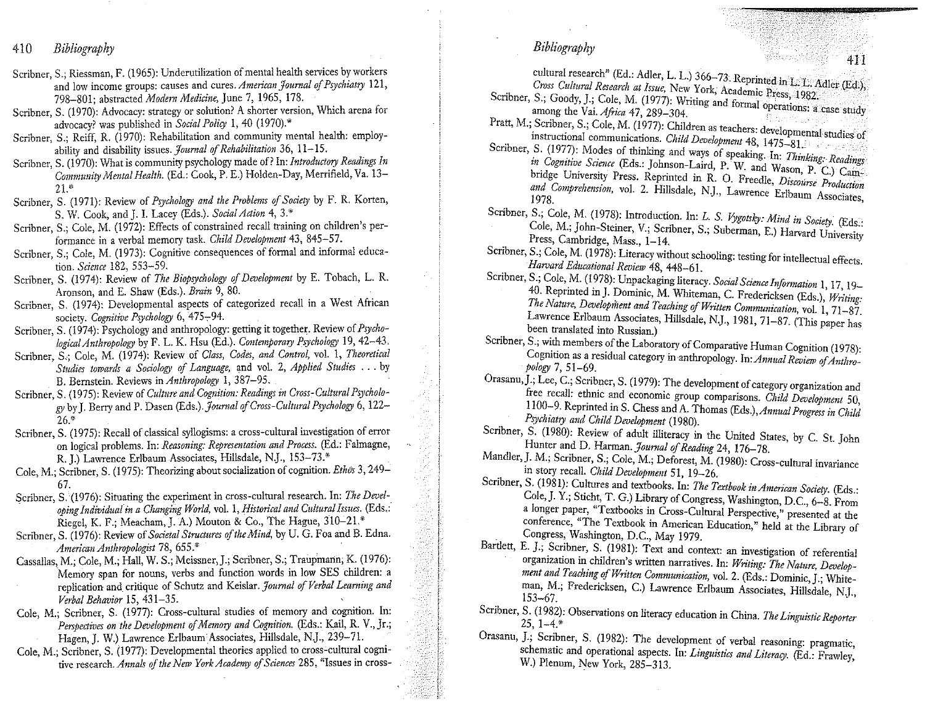410 *Bibliography* 

- **Scribner, S.; Riessman, F. (1965): Underutilization of mental health services by workers and low income groups: causes and** *cures.American]oumal of Psychiatry* **121,**  798-801; abstracted *Modern Medicine,* June 7, 1965, 178.
- Scribner, S. (1970): Advocacy: strategy or solution? A shorter version, Which arena for advocacy? was published in *Social Policy* I, 40 (1970).\*
- Scribner, S.; Reiff, R. (1970): Rehabilitation and community mental health: employability and disability issues. Journal of Rehabilitation 36, 11-15.
- Scribner, S. (1970): What is community psychology made of? In: *Introductory Readings In Community Mental Health.* (Ed.: Cook, P. E.) Holden-Day, Merrifield, Va. 13- 21."
- Scribner, S. (1971): Review of *Psychology and the Problems of Society* by F. R. Korten, S. W. Cook, and J. I. Lacey (Eds.). *Social Aaion* 4, 3.\*
- Scribner, S.; Cole, M. (1972): Effects of constrained recall training on children's performance in a verbal memory task. *Child Development* 43, 845-57.
- Scribner, S.; Cole, M. (1973): Cognitive consequences of formal and informal education. *Science* 182, 553-59.
- Scribner, S. (1974): Review of *The Biopsychology of Development* by E. Tobach, L. R. Aronson, and E. Shaw (Eds.). *Brain* 9, 80.
- Scribner, S. (1974): Developmental aspects of categorized recall in a West African society. *Cognitive Psychology* 6, 475-94.
- Scribner, S. (1974): Psychology and anthropology: getting it together. Review of *Psychological Anthropology* by F. L. K. Hsu (Ed.). *Contemporary Psychology* I 9, 42-43.
- Scribner, S.; Cole, M. (1974): Review of *Class, Codes, and Control,* vol. I, *Theoretical Studies towards a Sociology of Language,* and vol. 2, *Applied Studies* ... by B. Bernstein. Reviews in *Anthropology* !, 387-95.
- Scribner, S. (1975): Review of *Culture and Cognition: Readings in Cross-Cultural Psychology* by J. Berry and P. Dasen *(Eds.).Journal of Cross-Cultural Psychology* 6, 122- 26."
- Scribner, S. (1975): Recall of classical syllogisms: a cross-cultural investigation of error on logical problems. In: *Reasoning: Representation and Process.* (Ed.: Falmagne, R. J.) Lawrence Erlbaum Associates, Hillsdale, NJ., 153-73.\*
- Cole, M.; Scribner, S. (1975): Theorizing about socialization of cognition. *Ethos* 3, 249- 67.
- Scribner, S. (1976): Situating the experiment in cross-cultural research. In: *The Developing Individuaiin a Changing World,* vol. 1, *Historical and Cultural Issues.* (Eds.: Riegel, K. F.; Meacham, J. A.) Mouton & Co., The Hague, 310-21.\*
- Scribner, S. (1976): Review of *Societal Struaures of the Mind,* by U. G. Foa and B. Edna. *American Anthropologist* 78, 655.\*
- Cassallas, M.; Cole, M.; Hall, W. S.; Meissner,].; Scribner, S.; Traupmann, K. (1976): **Memory span for nouns, verbs and function words in low SES children: a replication and\_ critique of Schutz and Keislar.** *Journal of Verbal Learning and Verbal Behavior* 15, 431-35.
- Cole, M.; Scribner, S. (1977): Cross-cultural studies of memory and cognition. In: *Perspectives on the Development of Memory and Cognition.* (Eds.: Kail, R. V., Jr.; Hagen, J. W.) Lawrence Erlbaum Associates, Hillsdale, N.J., 239-71.
- Cole, M.; Scribner, S. (1977): Developmental theories applied to cross-cultural cogni**tive research.** *Annals of the New York Academy of Sciences* **285, "Issues in cross-**

*Bibliography* 

cultural research" (Ed.: Adler, L. L.) 366-73. Reprinted in L. L. Adler (Ed.), *Cross Cultural Research at Issue, New York, Academic Press, 1982.* 

- Scribner, S.; Goody, J.; Cole, M. (1977): Writing and formal operations:  $\frac{3.6}{2}$ among the Vai. *Africa* 47, 289-304. •
- Pratt, M.; Scribner, S.; Cole, M. (1977): Children as teachers: developmental studies of **instructional communications.** *Child Development* **48, 1475-81.**
- Scribner, S. (1977): Modes of thinking and ways of speaking. In: *Thinking: Readings in Cognitive Science* (Eds.: Johnson-Laird, P. W. and Wason, P. C.) Cambridge University Press. Reprinted in R. O. Freedle, *Discourse Production* and Comprehension, vol. 2. Hillsdale, N.J., Lawrence Erlbaum Associates, <sup>1978</sup>.
- Scribner, S.; Cole, M. (1978): Introduction. In: *L. S. Vygotsky: Mind in Society.* (Eds.: Cole, M.; John-Steiner, V.; Scribner, S.; Suberman, E.) Harvard University Press, Cambridge, Mass., 1-14.
- Scribner, S.; Cole, M. (1978): Literacy without schooling: testing for intellectual effects. *Harvard Educational Review* 48, 448-61.
- Scribner, S.; Cole, M. (1978): Unpackaging literacy. *Social Science Information* 1, 17, 19-40. Reprinted in J. Dominic, M. Whiteman, C. Fredericksen (Eds.), *Writing: The Nature, Developilzent and Teaching of Written Communication,* vol. 1, 71-87. Lawrence Erlbaum Associates, Hillsdale, NJ., 1981, 71-87. (This paper has **been translated into Russian.)**
- Scribner, S.; with members of the Laboratory of Comparative Human Cognition (1978): Cognition as a residual category in anthropology. In: *Annual Review of Anthropology* 7, 51-69.
- Orasanu, J.; Lee, C.; Scribner, S. (1979): The development of category organization and **free recall: ethnic and economic group comparisons.** *Child Development* **50,**  1100-9. Reprinted in S. Chess and A. Thomas *(Eds.),Annua/Progres, in Child Psychiatry and Child Development* (1980).
- Scribner, S. (1980): Review of adult illiteracy in the United States, by C. St. John Hunter and D. *Harman. Journal of Reading* 24, 176-78.
- **Mandler,]. M.; Scribner, S.; Cole, M.; Deforest, M. (1980): Cross-cultural invariance**  in story recall. *Child Development* 51, 19-26.
- Scribner, S. (1981): Cultures and textbooks. In: *The Textbook in American Society*. (Eds.: Cole,]. Y.; Sticht, T. G.) Library of Congress, Washington, D.C., 6-8. From **a longer paper, ' 1 Textbooks in Cross-Cultural Perspective," presented at the**  conference, "The Textbook in American Education," held at the Library of Congress, Washington, D.C., May 1979.
- Bartlett, E. J.; Scribner, S. (1981): Text and context: an investigation of referential organization in children's written narratives. In: Writing: The Nature, Development and Teaching of Written Communication, vol. 2. (Eds.: Dominic, J.; Whiteman, M.; Fredericksen, C.) Lawrence Erlbaum Associates, Hillsdale, N.J., 153-67.
- Scribner, S. (1982): Observations on literacy education in China. *The Linguistic Reporter*  $25, 1-4.*$
- Orasanu, J.; Scribner, S. (1982): The development of verbal reasoning: pragmatic, **schematic and operational aspects. In:** *Linguistics and Literacy.* **(Ed.: Frawley,**  W.) Plenum, New York, 285-313.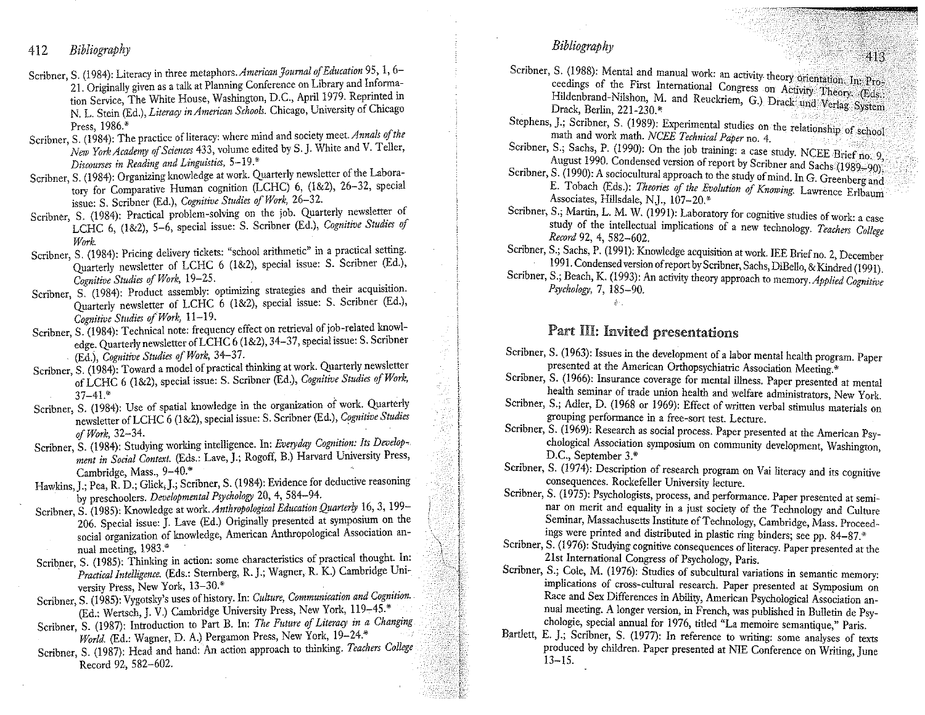412 *Bibliography* 

- Scribner, S. (1984): Literacy in three *metaphors.American Journal of Education* 95, l, 6- 21. Originally given as a talk at Planning Conference on Library and Information Service, The White House, Washington, D.C., April 1979. Reprinted in N. L. Stein (Ed.), *Literacy in American Schools.* Chicago, University of Chicago Press, 1986.\*
- Scribner, S. (1984): The practice of literacy: where mind and society meet. Annals of the *New York Academy of Sciences* 433, volume edited by S. J. White and V. Teller, *Discourses in Reading and Linguistics,* **5-19.** \*
- Scribner, S. (1984): Organizing knowledge at work. Quarterly newsletter of the Laboratory for Comparative Human cognition (LCHC) 6, (1&2), 26-32, special issue: S. Scribner (Ed.), *Cognitive Studies of Work,* 26-32.
- Scribner, S. (1984): Practical problem-solving on the job. Quarterly newsletter of LCHC 6, (1&2), 5-6, special issue: S. Scribner (Ed.), *Cognitive Studies of Work.*
- Scribner, S. (1984): Pricing delivery tickets: "school arithmetic" in a practical setting. Quarterly newsletter of LCHC 6 (1&2), special issue: S. Scribner (Ed.), *Cognitive Studies of Work,* 19-25.
- Scribner, S. (1984): Product assembly: optimizing strategies and their acquisition. Quarterly newsletter of LCHC 6 (1&2), special issue: S. Scribner (Ed.), *Cognitive Studies o/ Work,* 11-19.
- Scribner, S. (1984): Technical note: frequency effect on retrieval of job-related knowledge. Quarterly newsletter of LCHC 6 (1&2), 34-37, special issue: S. Scribner (Ed.), *Cognitive Studies of Work,* 34-37.
- Scribner, S. (1984): Toward a model of practical thinking at work. Quarterly newsletter of LCHC 6 (1&2), special issue: S. Scribner (Ed.), *Cognitive Studies of Work,*  37-41.\*
- Scribner, S. (1984): Use of spatial knowledge in the organization of work. Quarterly newsletter ofLCHC 6 (1&2), special issue: S. Scribner (Ed.), *Cognitive Studies of Work,* 32-34. •
- Scribner, S. (1984): Studying working intelligence. In: *Everyday Cognition: Its Development in Social Context.* (Eds.: Lave, J.; Rogoff, B.) Harvard University Press, Cambridge, Mass., 9-40.\*
- Hawkins,J.; Pea, R. D.; Glick,J.; Scribner, S. (1984): Evidence for deductive reasoning by preschoolers. *Developmental Psychology* 20, 4, 584-94.
- Scribner, S. (1985): Knowledge at work. *Anthropological Education Quarterly* 16, 3, 199- 206. Special issue: J. Lave (Ed.) Originally presented at symposium on the **social organization of knowledge, American Anthropological Association an**nual meeting, 1983.\*
- Scribner, S. (1985): Thinking in action: some characteristics of practical thought. In: • *Practical Intelligence.* (Eds.: Sternberg, R. J.; Wagner, R. K.) Cambridge University Press, New York, 13-30.\*
- Scribner, S. (1985): Vygotsky's uses of history. In: *Culture, Communication and Cognition.*  (Ed.: Wertsch, J. V.) Cambridge University Press, New York, 119-45.\*
- Scribner, S. (1987): lnttoduction to Part B. In: *The Future of Literacy in a Changing World.* (Ed.: Wagner, D. A.) Pergamon Press, New York, 19-24.\*
- Scribner, S. (1987): Head and hand: An action approach to thinking. *Teachers College*  Record 92, 582-602.
- *Bibliography*
- Scribner, S. (1988): Mental and manual work: an activity theory orientation: In: Proceedings of the First International Congress on Activity Theory, (Eds.: Hildenbrand-Nilshon, M. and Reuckriem, G.) Drack und Verlag System Drack, Berlin, 221-230.\*
- Stephens, J.; Scribner, S. (1989): Experimental studies on the relationship of school math and work math. *NCEE Technical Paper* no. 4.
- Scribner, S.; Sachs, P. (1990): On the job training: a case study. NCEE Brief no. 9, August 1990. Condensed version of report by Scribner and Sachs (1989-90).
- Scribner, S. (1990): A sociocultural approach to the study of mind. In G. Greenberg and E. Tobach (Eds.): *Theories of the Evolution of Knowing.* Lawrence Erlbaum Associates, Hillsdale, NJ., 107-20.\*
- Scribner, S.; Martin, L. M. W. (1991): Laboratory for cognitive studies of work: a case study of the intellectual implications of a new technology. *Teachers College Record* 92, 4, 582-602.
- Scribner, S.; Sachs, P. (1991): Knowledge acquisition at work. IEE Brief no. 2, December 1991. Condensed version of report by Scribner, Sachs, DiBello, & Kindred (1991 ).
- Scribner, S.; Beach, K. (1993): An activity theory approach to memory. *Applied Cognitive Psychology,* 7, 185-90.  $\Delta \sim$

## Part HI: Invited presentations

- Scribner, S. (1963): Issues in the development of a labor mental health program. Paper **presented at the American Orthopsychiatric Association Meeting.\***
- **Scribner, S. (1966): Insurance coverage for mental illness. Paper presented at mental health seminar of trade union health and welfare administrators, New York.**
- Scribner, S.; Adler, D. (1968 or 1969): Effect of written verbal stimulus materials on **grouping performance in a free-sort test. Lecture.**
- Scribner, S. (1969): Research as social process. Paper presented at the American Psy**chological Association symposium on community development, Washington,**  D.C., September 3.\*
- Scribner, S. (1974): Description of research program on Vai literacy and its cognitive **consequences. Rockefeller University lecture.**
- **Scribner, S. (1975): Psychologists, process, and performance. Paper presented at seminar on merit and equality in a just society of the Technology and Culture Seminar, Massachusetts Institute of Technology, Cambridge, Mass. Proceed**ings were printed and distributed in plastic ring binders; see pp. 84-87.<sup>\*</sup>
- Scribner, S. (1976): Studying cognitive consequences of literacy. Paper presented at the 21st International Congress of Psychology, Paris.
- Scribner, S.; Cole, M. (1976): Studies of subcultural variations in semantic memory: **implications of cross-cultural research. Paper presented at Symposium on Race and Sex Differences in Ability, American Psychological Association annual meeting. A longer version, in French, was published in Bulletin de Psy**chologie, special annual for 1976, titled "La memoire semantique," Paris.
- Bartlett, E. J.; Scribner, S. (1977): In reference to writing: some analyses of texts produced by children. Paper presented at NIE Conference on Writing, June  $13 - 15$ .

 $\sim$   $\sim$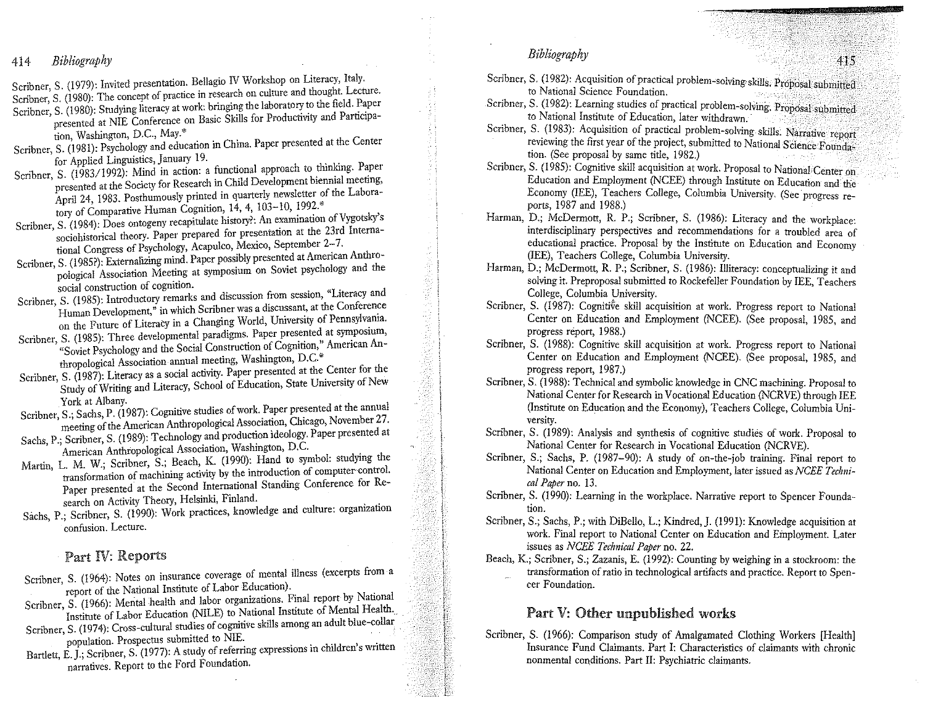- 414 *Bibliography*
- Scribner, S. (1979): Invited presentation. Bellagio IV Workshop on Literacy, Italy.

Scribner, S. (1980): The concept of practice in research on culture and thought. Lecture.

- Scribner, S. (1980): Studying literacy at work: bringing the laboratory to the field. Paper presented at NIE Conference on Basic Sldlls for Productivity and Participa**tion) Washington, D.C., May.\***
- Scribner, S. (1981): Psychology and education in China. Paper presented at the Center for Applied Linguistics, January 19.
- Scribner, S. (1983/1992): Mind in action: a functional approach to thinking. Paper **presented at the Society for Research in Child Development biennial meeting,**  April 24, 1983. Posthumously printed in quarterly newsletter of the Laboratory of Comparative Human Cognition, 14, 4, 103-10, 1992.\*
- Scribner, S. (1984): Does ontogeny recapitulate history?: An examination of Vygotsky's **sociohistorical theory. Paper prepared for presentation at the 23rd Interna**tional Congress of Psychology, Acapulco, Mexico, September 2-7.
- Scribner, S. (1985?): Externalizing mind. Paper possibly presented at American Anthro**pological Association Meeting at symposium on Soviet psychology and the social construction of cognition.**
- **Scribner, S. (1985): Introductory remarks and discussion from session, "Literacy and**  Human Development," in which Scribner was a discussant, at the Conference on the Future of Literacy in a Changing World, University of Pennsylvania.
- Scribner, S. (1985): Three developmental paradigms. Paper presented at symposium, **"Soviet Psychology and the Social Construction of Cognition/' American Anthropological Association annual meeting, Washington, D.C.\***
- Scribner, S. (1987): Literacy as a social activity. Paper presented at the Center for the Study of Writing and Literacy, School of Education, State University of New
- York at Albany.<br>Scribner, S.; Sachs, P. (1987): Cognitive studies of work. Paper presented at the annual meeting of the American Anthropological Association, Chicago, November 27.
- Sachs, P.; Scribner, S. (1989): Technology and production ideology. Paper presented at **American Anthropological Association, Washington, D.C.**
- Martin, L. M. W.; Scribner, S.; Beach, K. (1990): Hand to symbol: studying the **transformation of machining activity by the introduction of computer-control.**
- **Paper presented at the Second International Standing Conference for Re**search on Activity Theory, Helsinki, Finland.
- Sachs, P.; Scribner, S. (1990): Work practices, knowledge and culture: organization **confusion. Lecture.**

## Part IV: Reports

- Scribner, S. (1964): Notes on insurance coverage of mental illness (excerpts from a report of the National Institute of Labor Education).
- Scribner, S. (1966): Mental health and labor organizations. Final report by National Institute of Labor Education (NILE) to National Institute of Mental Health.
- Scribner, S. (1974): Cross-cultural studies of cognitive skills among an adult blue-collar population. Prospectus submitted to NIE.
- Bartlett, E. J.; Scribner, S. (1977): A study of referring expressions in children's written **narratives. Report to the Ford Foundation.**

*Bibliography* 

- Scribner, S. (1982): Acquisition of practical problem-solving skills. Proposal submitted to National Science Foundation. **to National Science Foundation.** • ·,, • • -*.:*
- Scribner, S. (1982): Learning studies of practical problem-solving. Proposal submitted to National Institute of Education, later withdrawn.
- Scribner, S. (1983): Acquisition of practical problem-solving skills. Narrative report reviewing the first year of the project, submitted to National Science Founda: tion. (See proposal by same title, 1982.)
- Scribner, S. (1985): Cognitive skill acquisition at work. Proposal to National Center on Education and Employment (NCEE) through Institute on Education and the Economy (IEE), Teachers College, Columbia University. (See progress reports, 1987 and 1988.)
- Harman, D.; McDermott, R. P.; Scribner, S. (1986): Literacy and the workplace: **interdisciplinary perspectives and recommendations for a troubled area of educational practice. Proposal by the Institute on Education and Economy**  (IEE), Teachers College, Columbia University.
- Harman, D.; McDermott, R. P.; Scribner, S. (1986): Illiteracy: conceptualizing it and solving it. Preproposal submitted to Rockefeller Foundation by IEE, Teachers College, Columbia University.
- Scribner, S. (1987): Cognitive skill acquisition at work. Progress report to National Center on Education and Employment (NCEE). (See proposal, 1985, and progress report, 1988.)
- Scribner, S. (1988): Cognitive skill acquisition at work. Progress report to National Center on Education and Employment (NCEE). (See proposal, 1985, and progress report, 1987.)
- Scribner, S. (1988): Technical and symbolic knowledge in CNC machining. Proposal to National Center for Research in Vocational Education (NCRVE) through IEE (Institute on Education and the Economy), Teachers College, Columbia Uni**versity.**
- Scribner, S. (1989): Analysis and synthesis of cognitive studies of work. Proposal to National Center for Research in Vocational Education (NCRVE).
- Scribner, S.; Sachs, P. (1987-90): A study of on-the-job training. Final report to **National Center on Education and Employment, later issued as** *NCEE Technical Paper* no. 13.
- Scribner, S. (1990): Learning in the workplace. Narrative report to Spencer Founda**tion.**
- Scribner, S.; Sachs, P.; with DiBello, L.; Kindred,]. (1991): Knowledge acquisition at **work. Final report to National Center on Education and Einployment. Later**  issues as *NCEE Technical Paper* no. 22.
- Beach, K.; Scribner, S.; Zazanis, E. (1992): Counting by weighing in a stockroom: the **transformation of ratio in technological artifacts and practice. Report to Spencer Foundation.**

## Part V: Other unpublished works

Scribner, S. (1966): Comparison study of Amalgamated Clothing Workers [Health] **Insurance Fund Claimants. Part I: Characteristics of claimants with chronic**  nonmental conditions. Part II: Psychiatric claimants.

--··.·'"'··c-.-·--:~~